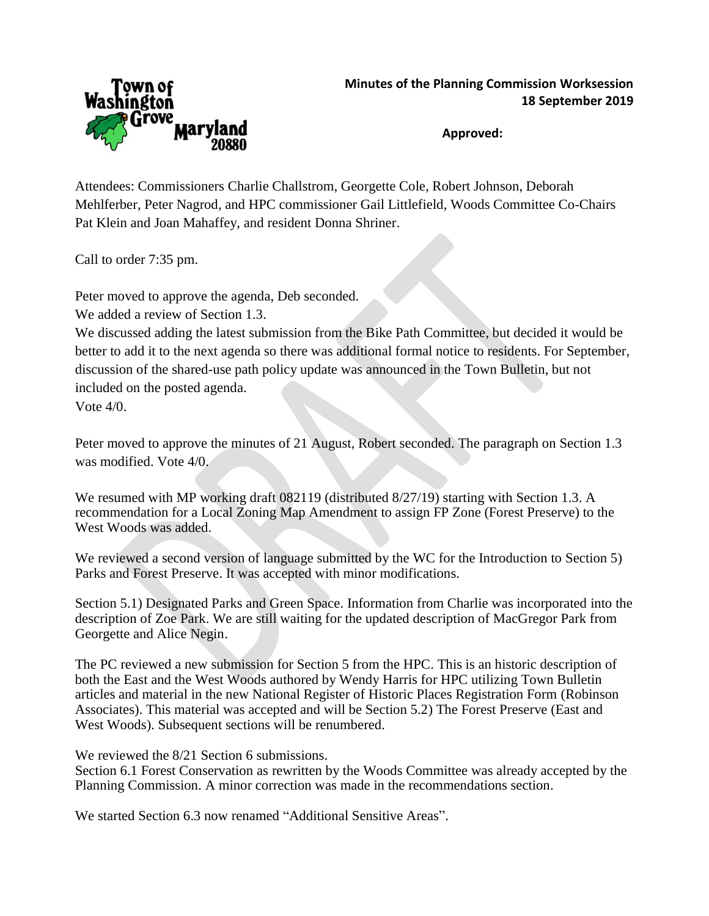

**Approved:**

Attendees: Commissioners Charlie Challstrom, Georgette Cole, Robert Johnson, Deborah Mehlferber, Peter Nagrod, and HPC commissioner Gail Littlefield, Woods Committee Co-Chairs Pat Klein and Joan Mahaffey, and resident Donna Shriner.

Call to order 7:35 pm.

Peter moved to approve the agenda, Deb seconded.

We added a review of Section 1.3.

We discussed adding the latest submission from the Bike Path Committee, but decided it would be better to add it to the next agenda so there was additional formal notice to residents. For September, discussion of the shared-use path policy update was announced in the Town Bulletin, but not included on the posted agenda.

Vote 4/0.

Peter moved to approve the minutes of 21 August, Robert seconded. The paragraph on Section 1.3 was modified. Vote 4/0.

We resumed with MP working draft 082119 (distributed 8/27/19) starting with Section 1.3. A recommendation for a Local Zoning Map Amendment to assign FP Zone (Forest Preserve) to the West Woods was added.

We reviewed a second version of language submitted by the WC for the Introduction to Section 5) Parks and Forest Preserve. It was accepted with minor modifications.

Section 5.1) Designated Parks and Green Space. Information from Charlie was incorporated into the description of Zoe Park. We are still waiting for the updated description of MacGregor Park from Georgette and Alice Negin.

The PC reviewed a new submission for Section 5 from the HPC. This is an historic description of both the East and the West Woods authored by Wendy Harris for HPC utilizing Town Bulletin articles and material in the new National Register of Historic Places Registration Form (Robinson Associates). This material was accepted and will be Section 5.2) The Forest Preserve (East and West Woods). Subsequent sections will be renumbered.

We reviewed the  $8/21$  Section 6 submissions.

Section 6.1 Forest Conservation as rewritten by the Woods Committee was already accepted by the Planning Commission. A minor correction was made in the recommendations section.

We started Section 6.3 now renamed "Additional Sensitive Areas".